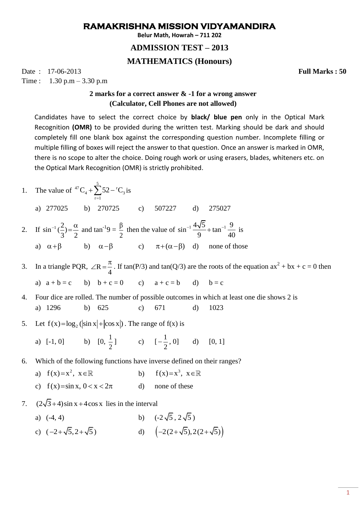## **RAMAKRISHNA MISSION VIDYAMANDIRA**

**Belur Math, Howrah – 711 202**

## **ADMISSION TEST – 2013**

## **MATHEMATICS (Honours)**

Date : 17-06-2013 **Full Marks : 50** Time :  $1.30 \text{ p.m} - 3.30 \text{ p.m}$ 

## **2 marks for a correct answer & -1 for a wrong answer (Calculator, Cell Phones are not allowed)**

Candidates have to select the correct choice by **black/ blue pen** only in the Optical Mark Recognition **(OMR)** to be provided during the written test. Marking should be dark and should completely fill one blank box against the corresponding question number. Incomplete filling or multiple filling of boxes will reject the answer to that question. Once an answer is marked in OMR, there is no scope to alter the choice. Doing rough work or using erasers, blades, whiteners etc. on the Optical Mark Recognition (OMR) is strictly prohibited.

- 1. The value of  $^{47}C + \sum_{1}^{5}$  52  $^{11}$  $4 + 25 = 6$  $r = 1$  $C_4 + \sum 52 - {}^{r}C$  $+\sum_{r=1}^{ } 52 - {}^{r}C_{3}$  is
	- a) 277025 b) 270725 c) 507227 d) 275027
- 2. If  $\sin^{-1}(\frac{2}{2})$  $3'$  2  $a^{-1}(\frac{2}{n}) = \frac{\alpha}{n}$  and tan<sup>-1</sup>9 = 2  $\frac{\beta}{2}$  then the value of  $\sin^{-1} \frac{4\sqrt{5}}{2} + \tan^{-1} \frac{9}{4}$  $\frac{1}{9}$  + tan  $\frac{1}{40}$  $\frac{-1}{1} \frac{4\sqrt{5}}{2} + \tan^{-1} \frac{9}{10}$  is a)  $\alpha + \beta$  b)  $\alpha - \beta$ c)  $\pi+(\alpha-\beta)$  d) none of those
- 3. In a triangle PQR,  $\angle$ R 4  $\angle R = \frac{\pi}{4}$ . If tan(P/3) and tan(Q/3) are the roots of the equation ax<sup>2</sup> + bx + c = 0 then a)  $a + b = c$  b)  $b + c = 0$  c)  $a + c = b$  d)  $b = c$
- 4. Four dice are rolled. The number of possible outcomes in which at least one die shows 2 is a) 1296 b) 625 c) 671 d) 1023
- 5. Let  $f(x) = \log_2(|\sin x| + |\cos x|)$ . The range of  $f(x)$  is
	- a)  $[-1, 0]$  b)  $[0, \frac{1}{2}]$ 2 ] c)  $[-\frac{1}{2}]$ 2  $\left[-\frac{1}{2}, 0\right]$  d)  $[0, 1]$
- 6. Which of the following functions have inverse defined on their ranges?
	- a)  $f(x)=x^2, x \in \mathbb{R}$ b)  $f(x)=x^3, x \in \mathbb{R}$
	- c)  $f(x) = \sin x, 0 < x < 2\pi$ d) none of these
- 7.  $(2\sqrt{3}+4)\sin x + 4\cos x$  lies in the interval
	- a)  $(-4, 4)$  $5, 2\sqrt{5}$ ) c)  $(-2+\sqrt{5},2+\sqrt{5})$  d)  $(-2(2+\sqrt{5}),2(2+\sqrt{5}))$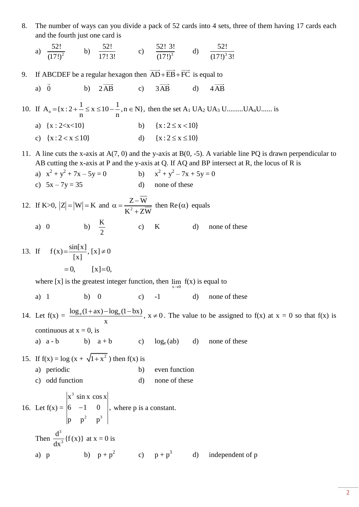8. The number of ways can you divide a pack of 52 cards into 4 sets, three of them having 17 cards each and the fourth just one card is

a) 
$$
\frac{52!}{(17!)^2}
$$
 b)  $\frac{52!}{17!3!}$  c)  $\frac{52!3!}{(17!)^3}$  d)  $\frac{52!}{(17!)^33!}$ 

- 9. If ABCDEF be a regular hexagon then  $AD + EB + FC$  is equal to
	- a) 0 b) 2AB c) 3AB d) 4AB

10. If  $A_n = \{x : 2 + \frac{1}{n} \le x \le 10 - \frac{1}{n}, n \in \mathbb{N}\},$  $\frac{1}{n} \leq x \leq 10 - \frac{1}{n}$  $t = \{x : 2 + \frac{1}{n} \le x \le 10 - \frac{1}{n}, n \in \mathbb{N}\}\text{, then the set } A_1 \text{ UA}_2 \text{ UA}_3 \text{ U} \text{........} \text{UA}_n\text{U} \text{........ is}$ 

a)  $\{x : 2 < x < 10\}$ b)  $\{x : 2 \le x < 10\}$ c)  $\{x: 2 < x \le 10\}$ d)  $\{x : 2 \le x \le 10\}$ 

11. A line cuts the x-axis at A(7, 0) and the y-axis at B(0, -5). A variable line PQ is drawn perpendicular to AB cutting the x-axis at P and the y-axis at Q. If AQ and BP intersect at R, the locus of R is

- a)  $x^2 + y^2 + 7x 5y = 0$  b) x  $x^2 + y^2 - 7x + 5y = 0$ c)  $5x - 7y = 35$  d) none of these
- 12. If K>0,  $|Z| = |W| = K$  and  $\alpha = \frac{Z}{K^2}$  $Z-W$  $K^2$  + ZW  $\alpha = \frac{Z-}{Z}$  $^{+}$ then  $\text{Re}(\alpha)$  equals a)  $\theta$ K 2 d) none of these

13. If 
$$
f(x) = \frac{\sin[x]}{[x]}, [x] \neq 0
$$
  
= 0,  $[x]=0$ ,

where [x] is the greatest integer function, then  $\lim_{x\to 0} f(x)$  is equal to

a) 1 b) 0 c)  $-1$  d) none of these

14. Let  $f(x) = \frac{\log_e(1 + ax) - \log_e(1 - bx)}{x}$ ,  $x \neq 0$  $+\text{ax})-\log_e(1-\text{bx})$ ,  $x \neq 0$ . The value to be assigned to f(x) at  $x = 0$  so that f(x) is continuous at  $x = 0$ , is a)  $a - b$  b)  $a + b$  c)  $log_e(ab)$  d) none of these

- 15. If  $f(x) = \log (x + \sqrt{1 + x^2})$  then  $f(x)$  is a) periodic b) even function
	- c) odd function d) none of these

16. Let 
$$
f(x) = \begin{vmatrix} x^3 \sin x \cos x \\ 6 & -1 & 0 \\ p & p^2 & p^3 \end{vmatrix}
$$
, where p is a constant.  
\nThen  $\frac{d^3}{dx^3} \{f(x)\}$  at  $x = 0$  is  
\na) p\nb)  $p + p^2$  c)  $p + p^3$  d) independent of p